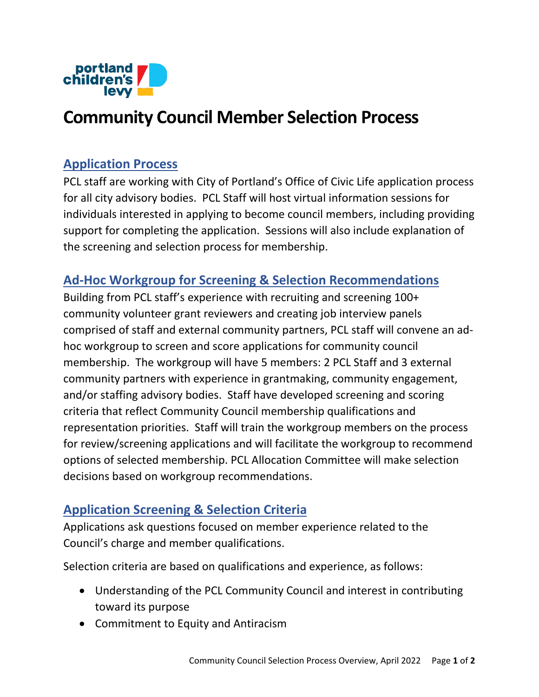

# **Community Council Member Selection Process**

### **Application Process**

PCL staff are working with City of Portland's Office of Civic Life application process for all city advisory bodies. PCL Staff will host virtual information sessions for individuals interested in applying to become council members, including providing support for completing the application. Sessions will also include explanation of the screening and selection process for membership.

### **Ad-Hoc Workgroup for Screening & Selection Recommendations**

Building from PCL staff's experience with recruiting and screening 100+ community volunteer grant reviewers and creating job interview panels comprised of staff and external community partners, PCL staff will convene an adhoc workgroup to screen and score applications for community council membership. The workgroup will have 5 members: 2 PCL Staff and 3 external community partners with experience in grantmaking, community engagement, and/or staffing advisory bodies. Staff have developed screening and scoring criteria that reflect Community Council membership qualifications and representation priorities. Staff will train the workgroup members on the process for review/screening applications and will facilitate the workgroup to recommend options of selected membership. PCL Allocation Committee will make selection decisions based on workgroup recommendations.

## **Application Screening & Selection Criteria**

Applications ask questions focused on member experience related to the Council's charge and member qualifications.

Selection criteria are based on qualifications and experience, as follows:

- Understanding of the PCL Community Council and interest in contributing toward its purpose
- Commitment to Equity and Antiracism